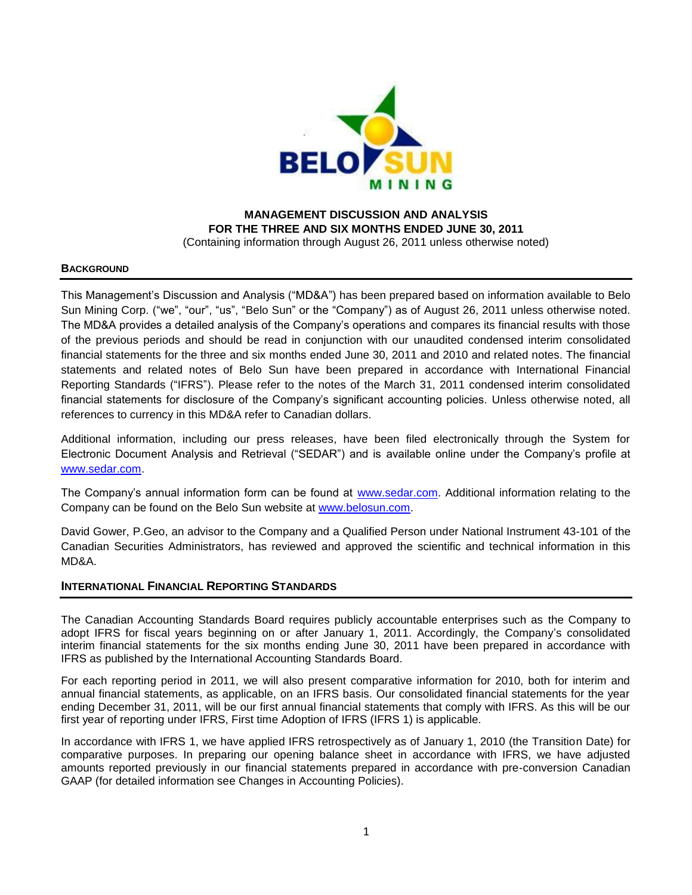

**MANAGEMENT DISCUSSION AND ANALYSIS FOR THE THREE AND SIX MONTHS ENDED JUNE 30, 2011** (Containing information through August 26, 2011 unless otherwise noted)

## **BACKGROUND**

This Management's Discussion and Analysis ("MD&A") has been prepared based on information available to Belo Sun Mining Corp. ("we", "our", "us", "Belo Sun" or the "Company") as of August 26, 2011 unless otherwise noted. The MD&A provides a detailed analysis of the Company's operations and compares its financial results with those of the previous periods and should be read in conjunction with our unaudited condensed interim consolidated financial statements for the three and six months ended June 30, 2011 and 2010 and related notes. The financial statements and related notes of Belo Sun have been prepared in accordance with International Financial Reporting Standards ("IFRS"). Please refer to the notes of the March 31, 2011 condensed interim consolidated financial statements for disclosure of the Company's significant accounting policies. Unless otherwise noted, all references to currency in this MD&A refer to Canadian dollars.

Additional information, including our press releases, have been filed electronically through the System for Electronic Document Analysis and Retrieval ("SEDAR") and is available online under the Company's profile at [www.sedar.com.](http://www.sedar.com/)

The Company's annual information form can be found at [www.sedar.com.](http://www.sedar.com/) Additional information relating to the Company can be found on the Belo Sun website at [www.belosun.com.](http://www.belosun.com/)

David Gower, P.Geo, an advisor to the Company and a Qualified Person under National Instrument 43-101 of the Canadian Securities Administrators, has reviewed and approved the scientific and technical information in this MD&A.

## **INTERNATIONAL FINANCIAL REPORTING STANDARDS**

The Canadian Accounting Standards Board requires publicly accountable enterprises such as the Company to adopt IFRS for fiscal years beginning on or after January 1, 2011. Accordingly, the Company's consolidated interim financial statements for the six months ending June 30, 2011 have been prepared in accordance with IFRS as published by the International Accounting Standards Board.

For each reporting period in 2011, we will also present comparative information for 2010, both for interim and annual financial statements, as applicable, on an IFRS basis. Our consolidated financial statements for the year ending December 31, 2011, will be our first annual financial statements that comply with IFRS. As this will be our first year of reporting under IFRS, First time Adoption of IFRS (IFRS 1) is applicable.

In accordance with IFRS 1, we have applied IFRS retrospectively as of January 1, 2010 (the Transition Date) for comparative purposes. In preparing our opening balance sheet in accordance with IFRS, we have adjusted amounts reported previously in our financial statements prepared in accordance with pre-conversion Canadian GAAP (for detailed information see Changes in Accounting Policies).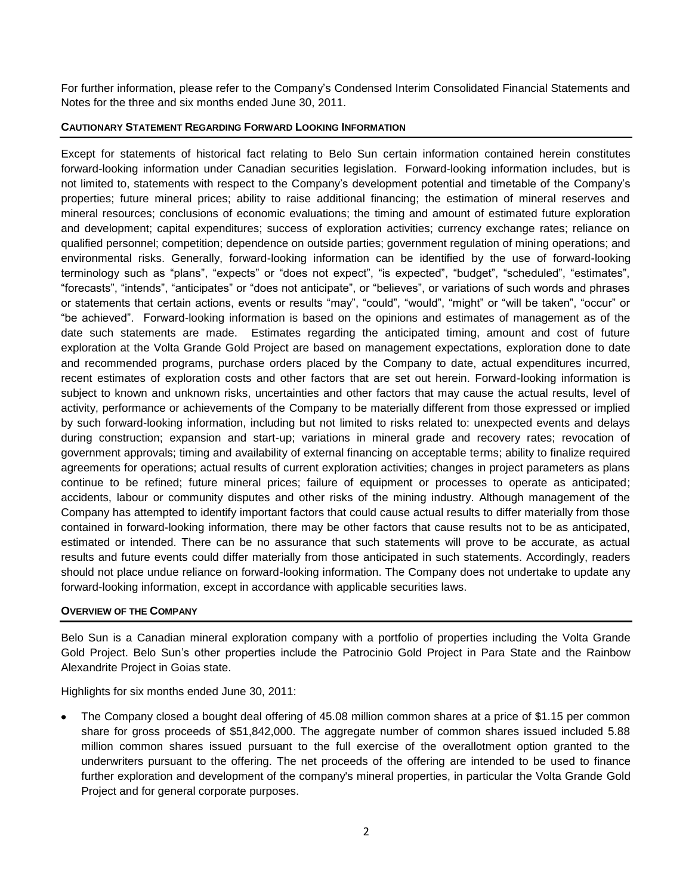For further information, please refer to the Company's Condensed Interim Consolidated Financial Statements and Notes for the three and six months ended June 30, 2011.

## **CAUTIONARY STATEMENT REGARDING FORWARD LOOKING INFORMATION**

Except for statements of historical fact relating to Belo Sun certain information contained herein constitutes forward-looking information under Canadian securities legislation. Forward-looking information includes, but is not limited to, statements with respect to the Company's development potential and timetable of the Company's properties; future mineral prices; ability to raise additional financing; the estimation of mineral reserves and mineral resources; conclusions of economic evaluations; the timing and amount of estimated future exploration and development; capital expenditures; success of exploration activities; currency exchange rates; reliance on qualified personnel; competition; dependence on outside parties; government regulation of mining operations; and environmental risks. Generally, forward-looking information can be identified by the use of forward-looking terminology such as "plans", "expects" or "does not expect", "is expected", "budget", "scheduled", "estimates", "forecasts", "intends", "anticipates" or "does not anticipate", or "believes", or variations of such words and phrases or statements that certain actions, events or results "may", "could", "would", "might" or "will be taken", "occur" or "be achieved". Forward-looking information is based on the opinions and estimates of management as of the date such statements are made. Estimates regarding the anticipated timing, amount and cost of future exploration at the Volta Grande Gold Project are based on management expectations, exploration done to date and recommended programs, purchase orders placed by the Company to date, actual expenditures incurred, recent estimates of exploration costs and other factors that are set out herein. Forward-looking information is subject to known and unknown risks, uncertainties and other factors that may cause the actual results, level of activity, performance or achievements of the Company to be materially different from those expressed or implied by such forward-looking information, including but not limited to risks related to: unexpected events and delays during construction; expansion and start-up; variations in mineral grade and recovery rates; revocation of government approvals; timing and availability of external financing on acceptable terms; ability to finalize required agreements for operations; actual results of current exploration activities; changes in project parameters as plans continue to be refined; future mineral prices; failure of equipment or processes to operate as anticipated; accidents, labour or community disputes and other risks of the mining industry. Although management of the Company has attempted to identify important factors that could cause actual results to differ materially from those contained in forward-looking information, there may be other factors that cause results not to be as anticipated, estimated or intended. There can be no assurance that such statements will prove to be accurate, as actual results and future events could differ materially from those anticipated in such statements. Accordingly, readers should not place undue reliance on forward-looking information. The Company does not undertake to update any forward-looking information, except in accordance with applicable securities laws.

## **OVERVIEW OF THE COMPANY**

Belo Sun is a Canadian mineral exploration company with a portfolio of properties including the Volta Grande Gold Project. Belo Sun's other properties include the Patrocinio Gold Project in Para State and the Rainbow Alexandrite Project in Goias state.

Highlights for six months ended June 30, 2011:

The Company closed a bought deal offering of 45.08 million common shares at a price of \$1.15 per common share for gross proceeds of \$51,842,000. The aggregate number of common shares issued included 5.88 million common shares issued pursuant to the full exercise of the overallotment option granted to the underwriters pursuant to the offering. The net proceeds of the offering are intended to be used to finance further exploration and development of the company's mineral properties, in particular the Volta Grande Gold Project and for general corporate purposes.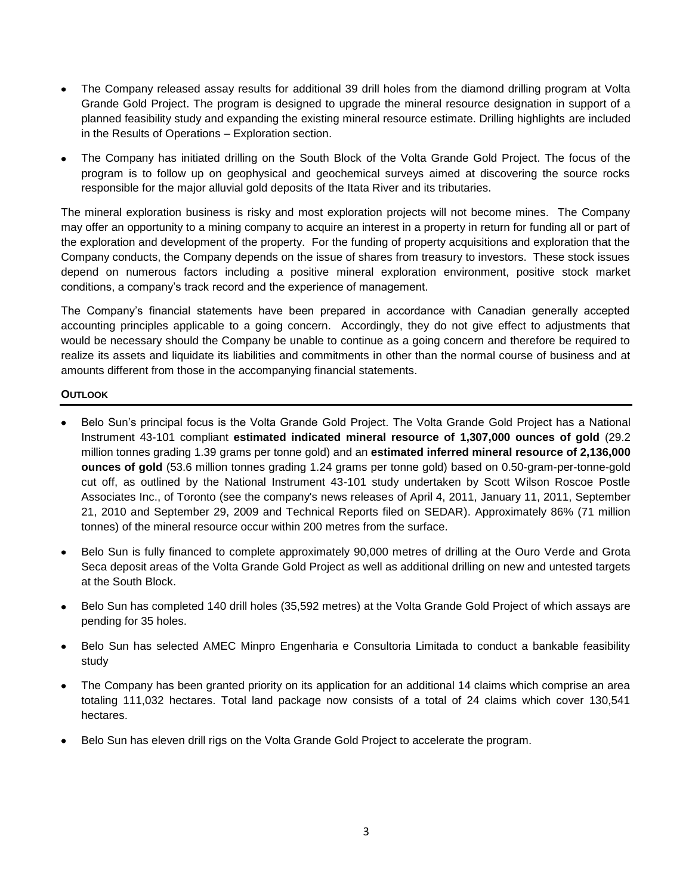- The Company released assay results for additional 39 drill holes from the diamond drilling program at Volta Grande Gold Project. The program is designed to upgrade the mineral resource designation in support of a planned feasibility study and expanding the existing mineral resource estimate. Drilling highlights are included in the Results of Operations – Exploration section.
- The Company has initiated drilling on the South Block of the Volta Grande Gold Project. The focus of the program is to follow up on geophysical and geochemical surveys aimed at discovering the source rocks responsible for the major alluvial gold deposits of the Itata River and its tributaries.

The mineral exploration business is risky and most exploration projects will not become mines. The Company may offer an opportunity to a mining company to acquire an interest in a property in return for funding all or part of the exploration and development of the property. For the funding of property acquisitions and exploration that the Company conducts, the Company depends on the issue of shares from treasury to investors. These stock issues depend on numerous factors including a positive mineral exploration environment, positive stock market conditions, a company's track record and the experience of management.

The Company's financial statements have been prepared in accordance with Canadian generally accepted accounting principles applicable to a going concern. Accordingly, they do not give effect to adjustments that would be necessary should the Company be unable to continue as a going concern and therefore be required to realize its assets and liquidate its liabilities and commitments in other than the normal course of business and at amounts different from those in the accompanying financial statements.

# **OUTLOOK**

- Belo Sun's principal focus is the Volta Grande Gold Project. The Volta Grande Gold Project has a National Instrument 43-101 compliant **estimated indicated mineral resource of 1,307,000 ounces of gold** (29.2 million tonnes grading 1.39 grams per tonne gold) and an **estimated inferred mineral resource of 2,136,000 ounces of gold** (53.6 million tonnes grading 1.24 grams per tonne gold) based on 0.50-gram-per-tonne-gold cut off, as outlined by the National Instrument 43-101 study undertaken by Scott Wilson Roscoe Postle Associates Inc., of Toronto (see the company's news releases of April 4, 2011, January 11, 2011, September 21, 2010 and September 29, 2009 and Technical Reports filed on SEDAR). Approximately 86% (71 million tonnes) of the mineral resource occur within 200 metres from the surface.
- Belo Sun is fully financed to complete approximately 90,000 metres of drilling at the Ouro Verde and Grota Seca deposit areas of the Volta Grande Gold Project as well as additional drilling on new and untested targets at the South Block.
- Belo Sun has completed 140 drill holes (35,592 metres) at the Volta Grande Gold Project of which assays are pending for 35 holes.
- Belo Sun has selected AMEC Minpro Engenharia e Consultoria Limitada to conduct a bankable feasibility study
- The Company has been granted priority on its application for an additional 14 claims which comprise an area totaling 111,032 hectares. Total land package now consists of a total of 24 claims which cover 130,541 hectares.
- Belo Sun has eleven drill rigs on the Volta Grande Gold Project to accelerate the program.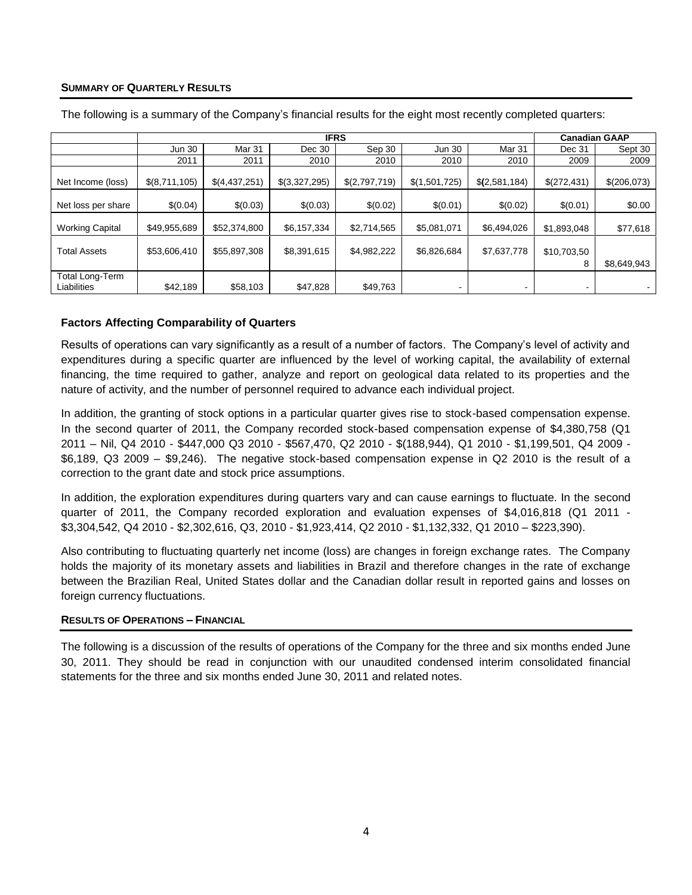# **SUMMARY OF QUARTERLY RESULTS**

|                                | <b>IFRS</b>   |               |               |               |                          | <b>Canadian GAAP</b> |                          |             |
|--------------------------------|---------------|---------------|---------------|---------------|--------------------------|----------------------|--------------------------|-------------|
|                                | <b>Jun 30</b> | Mar 31        | Dec 30        | Sep 30        | <b>Jun 30</b>            | Mar 31               | Dec 31                   | Sept 30     |
|                                | 2011          | 2011          | 2010          | 2010          | 2010                     | 2010                 | 2009                     | 2009        |
| Net Income (loss)              | \$(8,711,105) | \$(4,437,251) | \$(3,327,295) | \$(2,797,719) | \$(1,501,725)            | \$(2,581,184)        | \$(272,431)              | \$(206,073) |
| Net loss per share             | \$(0.04)      | \$(0.03)      | \$(0.03)      | \$(0.02)      | \$(0.01)                 | \$(0.02)             | \$(0.01)                 | \$0.00      |
| <b>Working Capital</b>         | \$49,955,689  | \$52,374,800  | \$6,157,334   | \$2,714,565   | \$5,081,071              | \$6,494,026          | \$1,893,048              | \$77,618    |
| <b>Total Assets</b>            | \$53,606,410  | \$55,897,308  | \$8,391,615   | \$4,982,222   | \$6,826,684              | \$7,637,778          | \$10,703,50<br>8         | \$8,649,943 |
| Total Long-Term<br>Liabilities | \$42,189      | \$58,103      | \$47,828      | \$49,763      | $\overline{\phantom{0}}$ |                      | $\overline{\phantom{a}}$ |             |

The following is a summary of the Company's financial results for the eight most recently completed quarters:

# **Factors Affecting Comparability of Quarters**

Results of operations can vary significantly as a result of a number of factors. The Company's level of activity and expenditures during a specific quarter are influenced by the level of working capital, the availability of external financing, the time required to gather, analyze and report on geological data related to its properties and the nature of activity, and the number of personnel required to advance each individual project.

In addition, the granting of stock options in a particular quarter gives rise to stock-based compensation expense. In the second quarter of 2011, the Company recorded stock-based compensation expense of \$4,380,758 (Q1 2011 – Nil, Q4 2010 - \$447,000 Q3 2010 - \$567,470, Q2 2010 - \$(188,944), Q1 2010 - \$1,199,501, Q4 2009 - \$6,189, Q3 2009 – \$9,246). The negative stock-based compensation expense in Q2 2010 is the result of a correction to the grant date and stock price assumptions.

In addition, the exploration expenditures during quarters vary and can cause earnings to fluctuate. In the second quarter of 2011, the Company recorded exploration and evaluation expenses of \$4,016,818 (Q1 2011 - \$3,304,542, Q4 2010 - \$2,302,616, Q3, 2010 - \$1,923,414, Q2 2010 - \$1,132,332, Q1 2010 – \$223,390).

Also contributing to fluctuating quarterly net income (loss) are changes in foreign exchange rates. The Company holds the majority of its monetary assets and liabilities in Brazil and therefore changes in the rate of exchange between the Brazilian Real, United States dollar and the Canadian dollar result in reported gains and losses on foreign currency fluctuations.

## **RESULTS OF OPERATIONS – FINANCIAL**

The following is a discussion of the results of operations of the Company for the three and six months ended June 30, 2011. They should be read in conjunction with our unaudited condensed interim consolidated financial statements for the three and six months ended June 30, 2011 and related notes.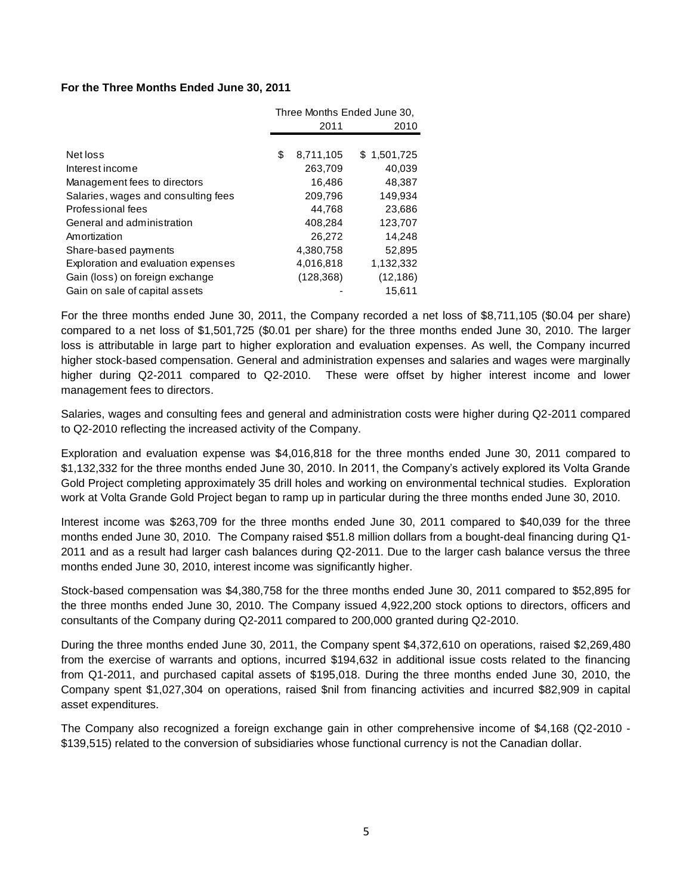# **For the Three Months Ended June 30, 2011**

|                                     | Three Months Ended June 30, |            |             |
|-------------------------------------|-----------------------------|------------|-------------|
|                                     |                             | 2011       | 2010        |
|                                     |                             |            |             |
| Net loss                            | \$                          | 8,711,105  | \$1,501,725 |
| Interest income                     |                             | 263,709    | 40,039      |
| Management fees to directors        |                             | 16,486     | 48,387      |
| Salaries, wages and consulting fees |                             | 209,796    | 149,934     |
| Professional fees                   |                             | 44.768     | 23,686      |
| General and administration          |                             | 408,284    | 123,707     |
| Amortization                        |                             | 26.272     | 14,248      |
| Share-based payments                |                             | 4,380,758  | 52,895      |
| Exploration and evaluation expenses |                             | 4,016,818  | 1,132,332   |
| Gain (loss) on foreign exchange     |                             | (128, 368) | (12, 186)   |
| Gain on sale of capital assets      |                             |            | 15,611      |

For the three months ended June 30, 2011, the Company recorded a net loss of \$8,711,105 (\$0.04 per share) compared to a net loss of \$1,501,725 (\$0.01 per share) for the three months ended June 30, 2010. The larger loss is attributable in large part to higher exploration and evaluation expenses. As well, the Company incurred higher stock-based compensation. General and administration expenses and salaries and wages were marginally higher during Q2-2011 compared to Q2-2010. These were offset by higher interest income and lower management fees to directors.

Salaries, wages and consulting fees and general and administration costs were higher during Q2-2011 compared to Q2-2010 reflecting the increased activity of the Company.

Exploration and evaluation expense was \$4,016,818 for the three months ended June 30, 2011 compared to \$1,132,332 for the three months ended June 30, 2010. In 2011, the Company's actively explored its Volta Grande Gold Project completing approximately 35 drill holes and working on environmental technical studies. Exploration work at Volta Grande Gold Project began to ramp up in particular during the three months ended June 30, 2010.

Interest income was \$263,709 for the three months ended June 30, 2011 compared to \$40,039 for the three months ended June 30, 2010. The Company raised \$51.8 million dollars from a bought-deal financing during Q1- 2011 and as a result had larger cash balances during Q2-2011. Due to the larger cash balance versus the three months ended June 30, 2010, interest income was significantly higher.

Stock-based compensation was \$4,380,758 for the three months ended June 30, 2011 compared to \$52,895 for the three months ended June 30, 2010. The Company issued 4,922,200 stock options to directors, officers and consultants of the Company during Q2-2011 compared to 200,000 granted during Q2-2010.

During the three months ended June 30, 2011, the Company spent \$4,372,610 on operations, raised \$2,269,480 from the exercise of warrants and options, incurred \$194,632 in additional issue costs related to the financing from Q1-2011, and purchased capital assets of \$195,018. During the three months ended June 30, 2010, the Company spent \$1,027,304 on operations, raised \$nil from financing activities and incurred \$82,909 in capital asset expenditures.

The Company also recognized a foreign exchange gain in other comprehensive income of \$4,168 (Q2-2010 - \$139,515) related to the conversion of subsidiaries whose functional currency is not the Canadian dollar.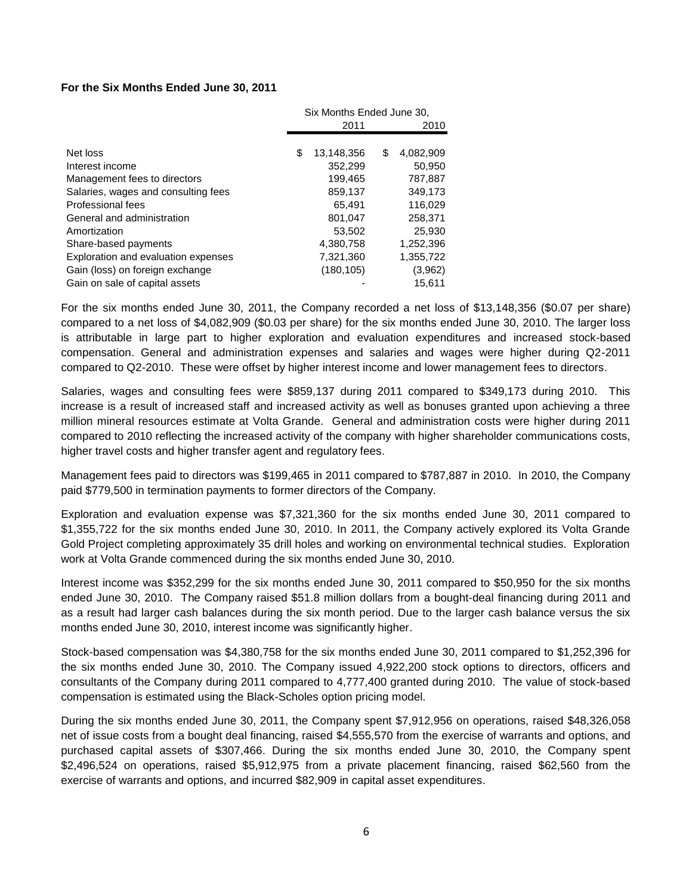## **For the Six Months Ended June 30, 2011**

|                                     | Six Months Ended June 30, |            |      |           |
|-------------------------------------|---------------------------|------------|------|-----------|
|                                     | 2011                      |            | 2010 |           |
|                                     |                           |            |      |           |
| Net loss                            | \$                        | 13,148,356 | S    | 4,082,909 |
| Interest income                     |                           | 352,299    |      | 50,950    |
| Management fees to directors        |                           | 199,465    |      | 787.887   |
| Salaries, wages and consulting fees |                           | 859,137    |      | 349,173   |
| Professional fees                   |                           | 65,491     |      | 116,029   |
| General and administration          |                           | 801,047    |      | 258,371   |
| Amortization                        |                           | 53,502     |      | 25,930    |
| Share-based payments                |                           | 4,380,758  |      | 1,252,396 |
| Exploration and evaluation expenses |                           | 7,321,360  |      | 1,355,722 |
| Gain (loss) on foreign exchange     |                           | (180, 105) |      | (3,962)   |
| Gain on sale of capital assets      |                           |            |      | 15.611    |

For the six months ended June 30, 2011, the Company recorded a net loss of \$13,148,356 (\$0.07 per share) compared to a net loss of \$4,082,909 (\$0.03 per share) for the six months ended June 30, 2010. The larger loss is attributable in large part to higher exploration and evaluation expenditures and increased stock-based compensation. General and administration expenses and salaries and wages were higher during Q2-2011 compared to Q2-2010. These were offset by higher interest income and lower management fees to directors.

Salaries, wages and consulting fees were \$859,137 during 2011 compared to \$349,173 during 2010. This increase is a result of increased staff and increased activity as well as bonuses granted upon achieving a three million mineral resources estimate at Volta Grande. General and administration costs were higher during 2011 compared to 2010 reflecting the increased activity of the company with higher shareholder communications costs, higher travel costs and higher transfer agent and regulatory fees.

Management fees paid to directors was \$199,465 in 2011 compared to \$787,887 in 2010. In 2010, the Company paid \$779,500 in termination payments to former directors of the Company.

Exploration and evaluation expense was \$7,321,360 for the six months ended June 30, 2011 compared to \$1,355,722 for the six months ended June 30, 2010. In 2011, the Company actively explored its Volta Grande Gold Project completing approximately 35 drill holes and working on environmental technical studies. Exploration work at Volta Grande commenced during the six months ended June 30, 2010.

Interest income was \$352,299 for the six months ended June 30, 2011 compared to \$50,950 for the six months ended June 30, 2010. The Company raised \$51.8 million dollars from a bought-deal financing during 2011 and as a result had larger cash balances during the six month period. Due to the larger cash balance versus the six months ended June 30, 2010, interest income was significantly higher.

Stock-based compensation was \$4,380,758 for the six months ended June 30, 2011 compared to \$1,252,396 for the six months ended June 30, 2010. The Company issued 4,922,200 stock options to directors, officers and consultants of the Company during 2011 compared to 4,777,400 granted during 2010. The value of stock-based compensation is estimated using the Black-Scholes option pricing model.

During the six months ended June 30, 2011, the Company spent \$7,912,956 on operations, raised \$48,326,058 net of issue costs from a bought deal financing, raised \$4,555,570 from the exercise of warrants and options, and purchased capital assets of \$307,466. During the six months ended June 30, 2010, the Company spent \$2,496,524 on operations, raised \$5,912,975 from a private placement financing, raised \$62,560 from the exercise of warrants and options, and incurred \$82,909 in capital asset expenditures.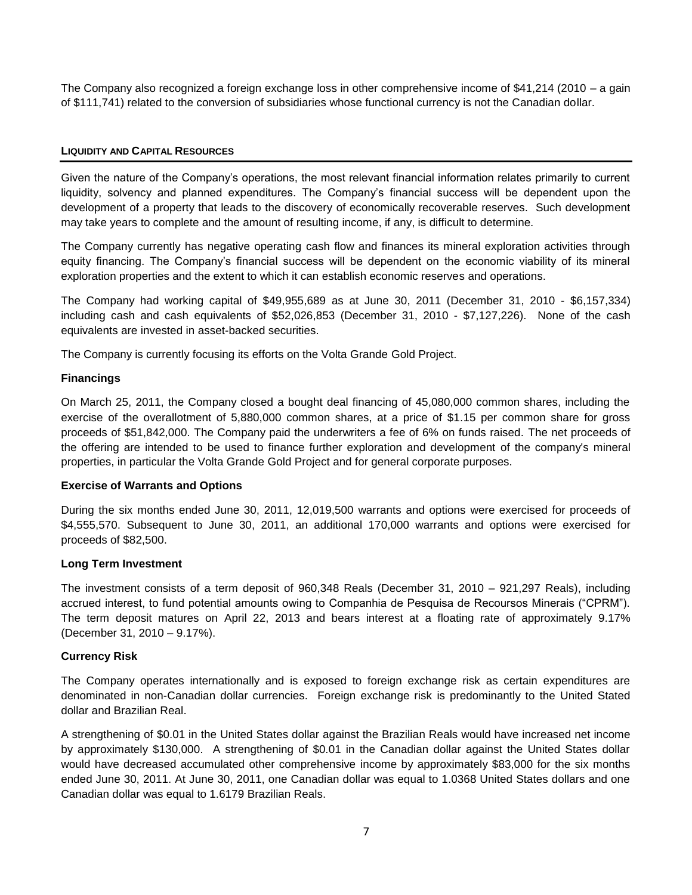The Company also recognized a foreign exchange loss in other comprehensive income of \$41,214 (2010 – a gain of \$111,741) related to the conversion of subsidiaries whose functional currency is not the Canadian dollar.

# **LIQUIDITY AND CAPITAL RESOURCES**

Given the nature of the Company's operations, the most relevant financial information relates primarily to current liquidity, solvency and planned expenditures. The Company's financial success will be dependent upon the development of a property that leads to the discovery of economically recoverable reserves. Such development may take years to complete and the amount of resulting income, if any, is difficult to determine.

The Company currently has negative operating cash flow and finances its mineral exploration activities through equity financing. The Company's financial success will be dependent on the economic viability of its mineral exploration properties and the extent to which it can establish economic reserves and operations.

The Company had working capital of \$49,955,689 as at June 30, 2011 (December 31, 2010 - \$6,157,334) including cash and cash equivalents of \$52,026,853 (December 31, 2010 - \$7,127,226). None of the cash equivalents are invested in asset-backed securities.

The Company is currently focusing its efforts on the Volta Grande Gold Project.

# **Financings**

On March 25, 2011, the Company closed a bought deal financing of 45,080,000 common shares, including the exercise of the overallotment of 5,880,000 common shares, at a price of \$1.15 per common share for gross proceeds of \$51,842,000. The Company paid the underwriters a fee of 6% on funds raised. The net proceeds of the offering are intended to be used to finance further exploration and development of the company's mineral properties, in particular the Volta Grande Gold Project and for general corporate purposes.

## **Exercise of Warrants and Options**

During the six months ended June 30, 2011, 12,019,500 warrants and options were exercised for proceeds of \$4,555,570. Subsequent to June 30, 2011, an additional 170,000 warrants and options were exercised for proceeds of \$82,500.

## **Long Term Investment**

The investment consists of a term deposit of 960,348 Reals (December 31, 2010 – 921,297 Reals), including accrued interest, to fund potential amounts owing to Companhia de Pesquisa de Recoursos Minerais ("CPRM"). The term deposit matures on April 22, 2013 and bears interest at a floating rate of approximately 9.17% (December 31, 2010 – 9.17%).

## **Currency Risk**

The Company operates internationally and is exposed to foreign exchange risk as certain expenditures are denominated in non-Canadian dollar currencies. Foreign exchange risk is predominantly to the United Stated dollar and Brazilian Real.

A strengthening of \$0.01 in the United States dollar against the Brazilian Reals would have increased net income by approximately \$130,000. A strengthening of \$0.01 in the Canadian dollar against the United States dollar would have decreased accumulated other comprehensive income by approximately \$83,000 for the six months ended June 30, 2011. At June 30, 2011, one Canadian dollar was equal to 1.0368 United States dollars and one Canadian dollar was equal to 1.6179 Brazilian Reals.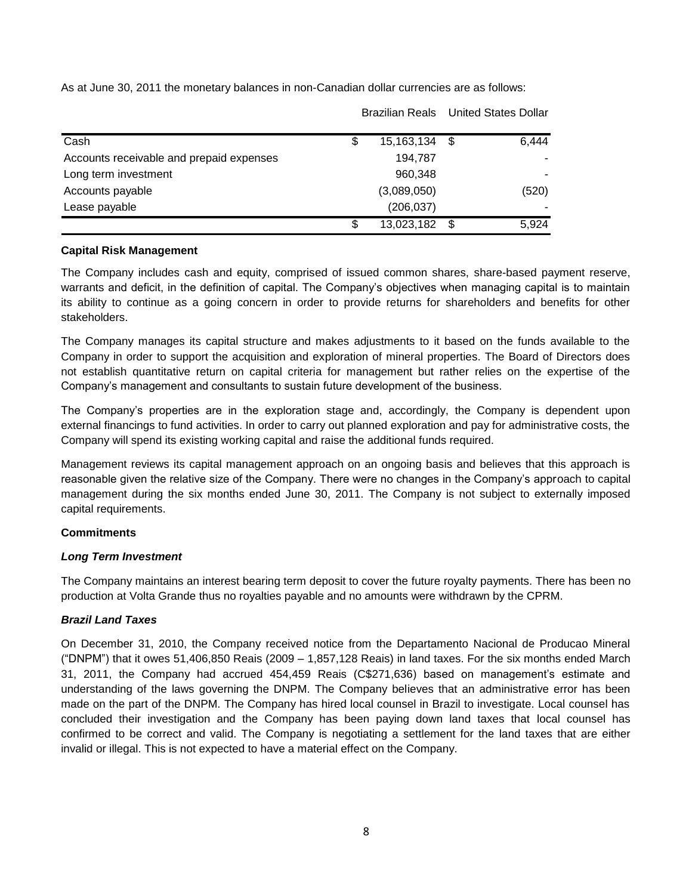As at June 30, 2011 the monetary balances in non-Canadian dollar currencies are as follows:

|                                          |    |               | <b>Brazilian Reals</b> United States Dollar |       |
|------------------------------------------|----|---------------|---------------------------------------------|-------|
| Cash                                     | S  | 15,163,134 \$ |                                             | 6,444 |
| Accounts receivable and prepaid expenses |    | 194,787       |                                             |       |
| Long term investment                     |    | 960,348       |                                             |       |
| Accounts payable                         |    | (3,089,050)   |                                             | (520) |
| Lease payable                            |    | (206, 037)    |                                             |       |
|                                          | \$ | 13,023,182    | \$                                          | 5,924 |

# **Capital Risk Management**

The Company includes cash and equity, comprised of issued common shares, share-based payment reserve, warrants and deficit, in the definition of capital. The Company's objectives when managing capital is to maintain its ability to continue as a going concern in order to provide returns for shareholders and benefits for other stakeholders.

The Company manages its capital structure and makes adjustments to it based on the funds available to the Company in order to support the acquisition and exploration of mineral properties. The Board of Directors does not establish quantitative return on capital criteria for management but rather relies on the expertise of the Company's management and consultants to sustain future development of the business.

The Company's properties are in the exploration stage and, accordingly, the Company is dependent upon external financings to fund activities. In order to carry out planned exploration and pay for administrative costs, the Company will spend its existing working capital and raise the additional funds required.

Management reviews its capital management approach on an ongoing basis and believes that this approach is reasonable given the relative size of the Company. There were no changes in the Company's approach to capital management during the six months ended June 30, 2011. The Company is not subject to externally imposed capital requirements.

# **Commitments**

# *Long Term Investment*

The Company maintains an interest bearing term deposit to cover the future royalty payments. There has been no production at Volta Grande thus no royalties payable and no amounts were withdrawn by the CPRM.

# *Brazil Land Taxes*

On December 31, 2010, the Company received notice from the Departamento Nacional de Producao Mineral ("DNPM") that it owes 51,406,850 Reais (2009 – 1,857,128 Reais) in land taxes. For the six months ended March 31, 2011, the Company had accrued 454,459 Reais (C\$271,636) based on management's estimate and understanding of the laws governing the DNPM. The Company believes that an administrative error has been made on the part of the DNPM. The Company has hired local counsel in Brazil to investigate. Local counsel has concluded their investigation and the Company has been paying down land taxes that local counsel has confirmed to be correct and valid. The Company is negotiating a settlement for the land taxes that are either invalid or illegal. This is not expected to have a material effect on the Company.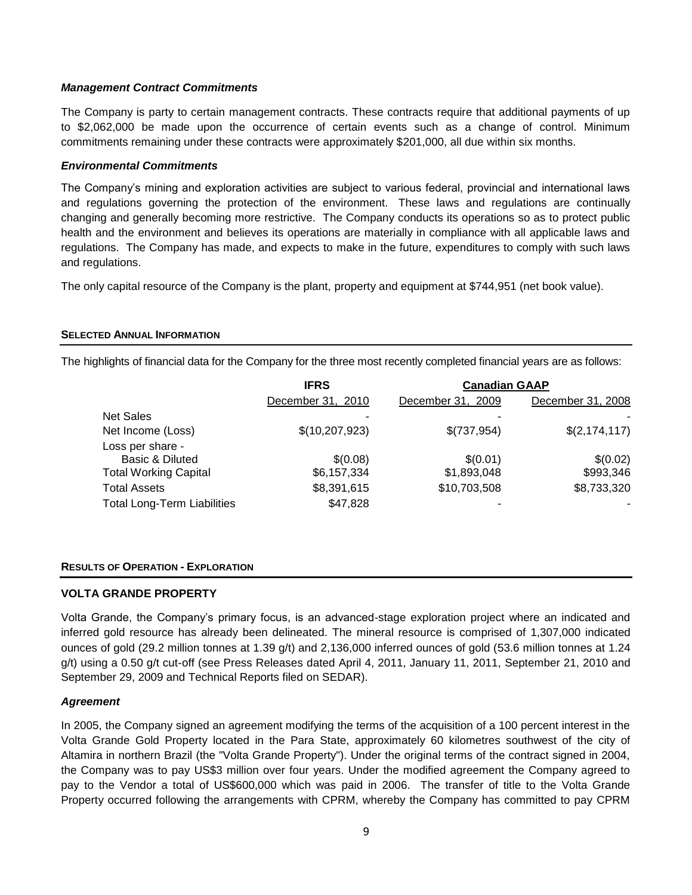# *Management Contract Commitments*

The Company is party to certain management contracts. These contracts require that additional payments of up to \$2,062,000 be made upon the occurrence of certain events such as a change of control. Minimum commitments remaining under these contracts were approximately \$201,000, all due within six months.

# *Environmental Commitments*

The Company's mining and exploration activities are subject to various federal, provincial and international laws and regulations governing the protection of the environment. These laws and regulations are continually changing and generally becoming more restrictive. The Company conducts its operations so as to protect public health and the environment and believes its operations are materially in compliance with all applicable laws and regulations. The Company has made, and expects to make in the future, expenditures to comply with such laws and regulations.

The only capital resource of the Company is the plant, property and equipment at \$744,951 (net book value).

## **SELECTED ANNUAL INFORMATION**

The highlights of financial data for the Company for the three most recently completed financial years are as follows:

|                                    | <b>IFRS</b>       | <b>Canadian GAAP</b> |                   |  |
|------------------------------------|-------------------|----------------------|-------------------|--|
|                                    | December 31, 2010 | December 31, 2009    | December 31, 2008 |  |
| <b>Net Sales</b>                   |                   |                      |                   |  |
| Net Income (Loss)                  | \$(10, 207, 923)  | \$(737,954)          | \$(2, 174, 117)   |  |
| Loss per share -                   |                   |                      |                   |  |
| Basic & Diluted                    | \$(0.08)          | \$(0.01)             | \$(0.02)          |  |
| <b>Total Working Capital</b>       | \$6,157,334       | \$1,893,048          | \$993,346         |  |
| <b>Total Assets</b>                | \$8,391,615       | \$10,703,508         | \$8,733,320       |  |
| <b>Total Long-Term Liabilities</b> | \$47,828          |                      |                   |  |

## **RESULTS OF OPERATION - EXPLORATION**

## **VOLTA GRANDE PROPERTY**

Volta Grande, the Company's primary focus, is an advanced-stage exploration project where an indicated and inferred gold resource has already been delineated. The mineral resource is comprised of 1,307,000 indicated ounces of gold (29.2 million tonnes at 1.39 g/t) and 2,136,000 inferred ounces of gold (53.6 million tonnes at 1.24 g/t) using a 0.50 g/t cut-off (see Press Releases dated April 4, 2011, January 11, 2011, September 21, 2010 and September 29, 2009 and Technical Reports filed on SEDAR).

## *Agreement*

In 2005, the Company signed an agreement modifying the terms of the acquisition of a 100 percent interest in the Volta Grande Gold Property located in the Para State, approximately 60 kilometres southwest of the city of Altamira in northern Brazil (the "Volta Grande Property"). Under the original terms of the contract signed in 2004, the Company was to pay US\$3 million over four years. Under the modified agreement the Company agreed to pay to the Vendor a total of US\$600,000 which was paid in 2006. The transfer of title to the Volta Grande Property occurred following the arrangements with CPRM, whereby the Company has committed to pay CPRM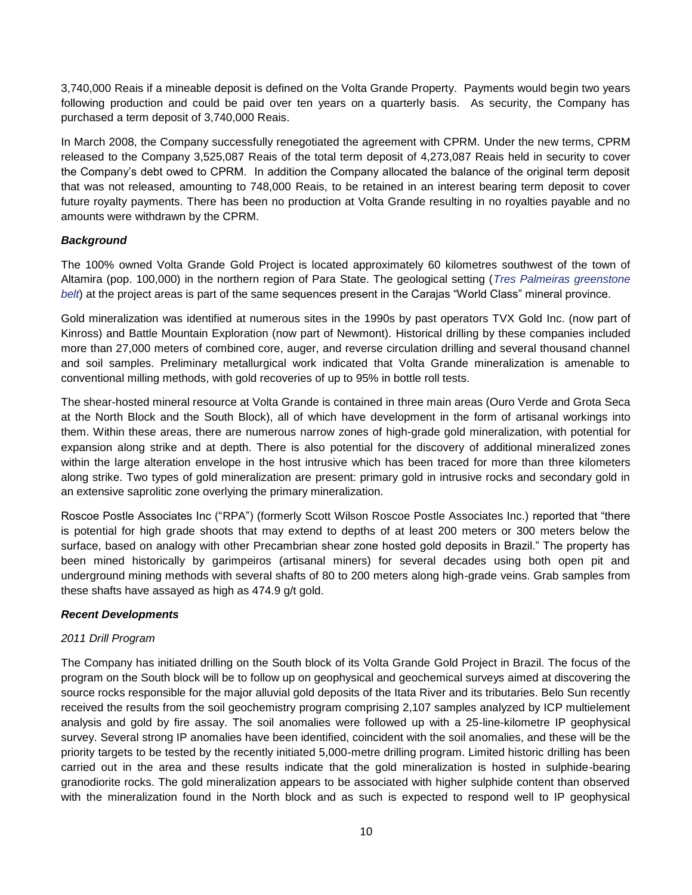3,740,000 Reais if a mineable deposit is defined on the Volta Grande Property. Payments would begin two years following production and could be paid over ten years on a quarterly basis. As security, the Company has purchased a term deposit of 3,740,000 Reais.

In March 2008, the Company successfully renegotiated the agreement with CPRM. Under the new terms, CPRM released to the Company 3,525,087 Reais of the total term deposit of 4,273,087 Reais held in security to cover the Company's debt owed to CPRM. In addition the Company allocated the balance of the original term deposit that was not released, amounting to 748,000 Reais, to be retained in an interest bearing term deposit to cover future royalty payments. There has been no production at Volta Grande resulting in no royalties payable and no amounts were withdrawn by the CPRM.

# *Background*

The 100% owned Volta Grande Gold Project is located approximately 60 kilometres southwest of the town of Altamira (pop. 100,000) in the northern region of Para State. The geological setting (*Tres Palmeiras greenstone belt*) at the project areas is part of the same sequences present in the Carajas "World Class" mineral province.

Gold mineralization was identified at numerous sites in the 1990s by past operators TVX Gold Inc. (now part of Kinross) and Battle Mountain Exploration (now part of Newmont). Historical drilling by these companies included more than 27,000 meters of combined core, auger, and reverse circulation drilling and several thousand channel and soil samples. Preliminary metallurgical work indicated that Volta Grande mineralization is amenable to conventional milling methods, with gold recoveries of up to 95% in bottle roll tests.

The shear-hosted mineral resource at Volta Grande is contained in three main areas (Ouro Verde and Grota Seca at the North Block and the South Block), all of which have development in the form of artisanal workings into them. Within these areas, there are numerous narrow zones of high-grade gold mineralization, with potential for expansion along strike and at depth. There is also potential for the discovery of additional mineralized zones within the large alteration envelope in the host intrusive which has been traced for more than three kilometers along strike. Two types of gold mineralization are present: primary gold in intrusive rocks and secondary gold in an extensive saprolitic zone overlying the primary mineralization.

Roscoe Postle Associates Inc ("RPA") (formerly Scott Wilson Roscoe Postle Associates Inc.) reported that "there is potential for high grade shoots that may extend to depths of at least 200 meters or 300 meters below the surface, based on analogy with other Precambrian shear zone hosted gold deposits in Brazil." The property has been mined historically by garimpeiros (artisanal miners) for several decades using both open pit and underground mining methods with several shafts of 80 to 200 meters along high-grade veins. Grab samples from these shafts have assayed as high as 474.9 g/t gold.

# *Recent Developments*

## *2011 Drill Program*

The Company has initiated drilling on the South block of its Volta Grande Gold Project in Brazil. The focus of the program on the South block will be to follow up on geophysical and geochemical surveys aimed at discovering the source rocks responsible for the major alluvial gold deposits of the Itata River and its tributaries. Belo Sun recently received the results from the soil geochemistry program comprising 2,107 samples analyzed by ICP multielement analysis and gold by fire assay. The soil anomalies were followed up with a 25-line-kilometre IP geophysical survey. Several strong IP anomalies have been identified, coincident with the soil anomalies, and these will be the priority targets to be tested by the recently initiated 5,000-metre drilling program. Limited historic drilling has been carried out in the area and these results indicate that the gold mineralization is hosted in sulphide-bearing granodiorite rocks. The gold mineralization appears to be associated with higher sulphide content than observed with the mineralization found in the North block and as such is expected to respond well to IP geophysical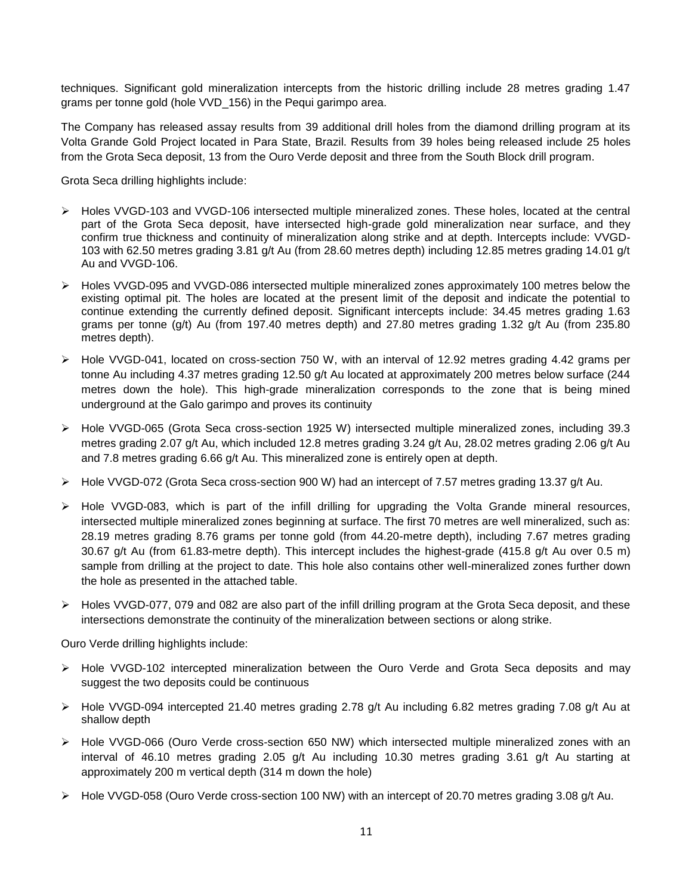techniques. Significant gold mineralization intercepts from the historic drilling include 28 metres grading 1.47 grams per tonne gold (hole VVD 156) in the Pequi garimpo area.

The Company has released assay results from 39 additional drill holes from the diamond drilling program at its Volta Grande Gold Project located in Para State, Brazil. Results from 39 holes being released include 25 holes from the Grota Seca deposit, 13 from the Ouro Verde deposit and three from the South Block drill program.

Grota Seca drilling highlights include:

- Holes VVGD-103 and VVGD-106 intersected multiple mineralized zones. These holes, located at the central part of the Grota Seca deposit, have intersected high-grade gold mineralization near surface, and they confirm true thickness and continuity of mineralization along strike and at depth. Intercepts include: VVGD-103 with 62.50 metres grading 3.81 g/t Au (from 28.60 metres depth) including 12.85 metres grading 14.01 g/t Au and VVGD-106.
- Holes VVGD-095 and VVGD-086 intersected multiple mineralized zones approximately 100 metres below the existing optimal pit. The holes are located at the present limit of the deposit and indicate the potential to continue extending the currently defined deposit. Significant intercepts include: 34.45 metres grading 1.63 grams per tonne (g/t) Au (from 197.40 metres depth) and 27.80 metres grading 1.32 g/t Au (from 235.80 metres depth).
- $\triangleright$  Hole VVGD-041, located on cross-section 750 W, with an interval of 12.92 metres grading 4.42 grams per tonne Au including 4.37 metres grading 12.50 g/t Au located at approximately 200 metres below surface (244 metres down the hole). This high-grade mineralization corresponds to the zone that is being mined underground at the Galo garimpo and proves its continuity
- Hole VVGD-065 (Grota Seca cross-section 1925 W) intersected multiple mineralized zones, including 39.3 metres grading 2.07 g/t Au, which included 12.8 metres grading 3.24 g/t Au, 28.02 metres grading 2.06 g/t Au and 7.8 metres grading 6.66 g/t Au. This mineralized zone is entirely open at depth.
- Hole VVGD-072 (Grota Seca cross-section 900 W) had an intercept of 7.57 metres grading 13.37 g/t Au.
- $\triangleright$  Hole VVGD-083, which is part of the infill drilling for upgrading the Volta Grande mineral resources, intersected multiple mineralized zones beginning at surface. The first 70 metres are well mineralized, such as: 28.19 metres grading 8.76 grams per tonne gold (from 44.20-metre depth), including 7.67 metres grading 30.67 g/t Au (from 61.83-metre depth). This intercept includes the highest-grade (415.8 g/t Au over 0.5 m) sample from drilling at the project to date. This hole also contains other well-mineralized zones further down the hole as presented in the attached table.
- Holes VVGD-077, 079 and 082 are also part of the infill drilling program at the Grota Seca deposit, and these intersections demonstrate the continuity of the mineralization between sections or along strike.

Ouro Verde drilling highlights include:

- $\triangleright$  Hole VVGD-102 intercepted mineralization between the Ouro Verde and Grota Seca deposits and may suggest the two deposits could be continuous
- Hole VVGD-094 intercepted 21.40 metres grading 2.78 g/t Au including 6.82 metres grading 7.08 g/t Au at shallow depth
- Hole VVGD-066 (Ouro Verde cross-section 650 NW) which intersected multiple mineralized zones with an interval of 46.10 metres grading 2.05 g/t Au including 10.30 metres grading 3.61 g/t Au starting at approximately 200 m vertical depth (314 m down the hole)
- Hole VVGD-058 (Ouro Verde cross-section 100 NW) with an intercept of 20.70 metres grading 3.08 g/t Au.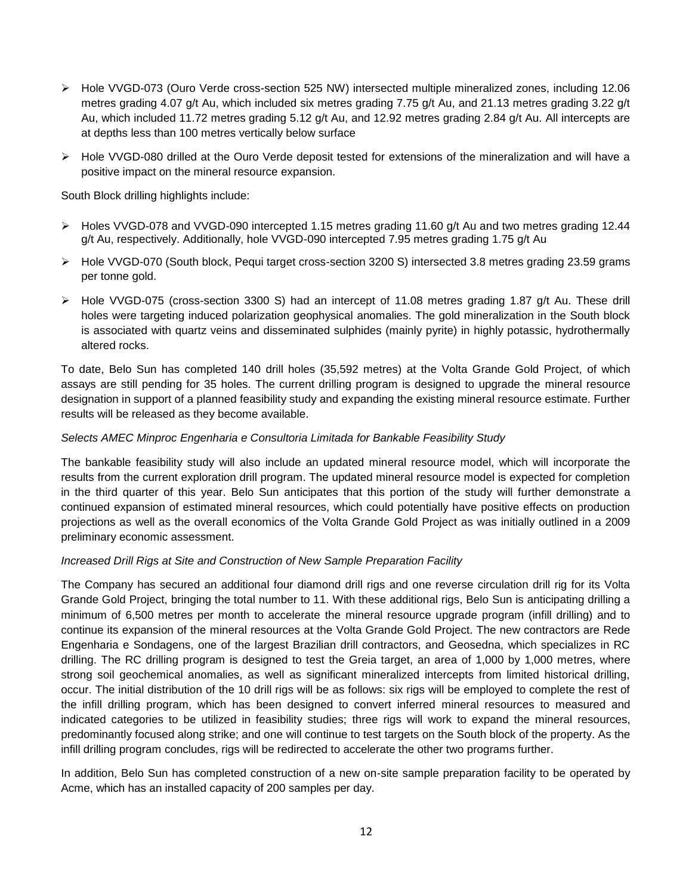- Hole VVGD-073 (Ouro Verde cross-section 525 NW) intersected multiple mineralized zones, including 12.06 metres grading 4.07 g/t Au, which included six metres grading 7.75 g/t Au, and 21.13 metres grading 3.22 g/t Au, which included 11.72 metres grading 5.12 g/t Au, and 12.92 metres grading 2.84 g/t Au. All intercepts are at depths less than 100 metres vertically below surface
- ► Hole VVGD-080 drilled at the Ouro Verde deposit tested for extensions of the mineralization and will have a positive impact on the mineral resource expansion.

South Block drilling highlights include:

- $\triangleright$  Holes VVGD-078 and VVGD-090 intercepted 1.15 metres grading 11.60 g/t Au and two metres grading 12.44 g/t Au, respectively. Additionally, hole VVGD-090 intercepted 7.95 metres grading 1.75 g/t Au
- Hole VVGD-070 (South block, Pequi target cross-section 3200 S) intersected 3.8 metres grading 23.59 grams per tonne gold.
- $\triangleright$  Hole VVGD-075 (cross-section 3300 S) had an intercept of 11.08 metres grading 1.87 g/t Au. These drill holes were targeting induced polarization geophysical anomalies. The gold mineralization in the South block is associated with quartz veins and disseminated sulphides (mainly pyrite) in highly potassic, hydrothermally altered rocks.

To date, Belo Sun has completed 140 drill holes (35,592 metres) at the Volta Grande Gold Project, of which assays are still pending for 35 holes. The current drilling program is designed to upgrade the mineral resource designation in support of a planned feasibility study and expanding the existing mineral resource estimate. Further results will be released as they become available.

# *Selects AMEC Minproc Engenharia e Consultoria Limitada for Bankable Feasibility Study*

The bankable feasibility study will also include an updated mineral resource model, which will incorporate the results from the current exploration drill program. The updated mineral resource model is expected for completion in the third quarter of this year. Belo Sun anticipates that this portion of the study will further demonstrate a continued expansion of estimated mineral resources, which could potentially have positive effects on production projections as well as the overall economics of the Volta Grande Gold Project as was initially outlined in a 2009 preliminary economic assessment.

## *Increased Drill Rigs at Site and Construction of New Sample Preparation Facility*

The Company has secured an additional four diamond drill rigs and one reverse circulation drill rig for its Volta Grande Gold Project, bringing the total number to 11. With these additional rigs, Belo Sun is anticipating drilling a minimum of 6,500 metres per month to accelerate the mineral resource upgrade program (infill drilling) and to continue its expansion of the mineral resources at the Volta Grande Gold Project. The new contractors are Rede Engenharia e Sondagens, one of the largest Brazilian drill contractors, and Geosedna, which specializes in RC drilling. The RC drilling program is designed to test the Greia target, an area of 1,000 by 1,000 metres, where strong soil geochemical anomalies, as well as significant mineralized intercepts from limited historical drilling, occur. The initial distribution of the 10 drill rigs will be as follows: six rigs will be employed to complete the rest of the infill drilling program, which has been designed to convert inferred mineral resources to measured and indicated categories to be utilized in feasibility studies; three rigs will work to expand the mineral resources, predominantly focused along strike; and one will continue to test targets on the South block of the property. As the infill drilling program concludes, rigs will be redirected to accelerate the other two programs further.

In addition, Belo Sun has completed construction of a new on-site sample preparation facility to be operated by Acme, which has an installed capacity of 200 samples per day.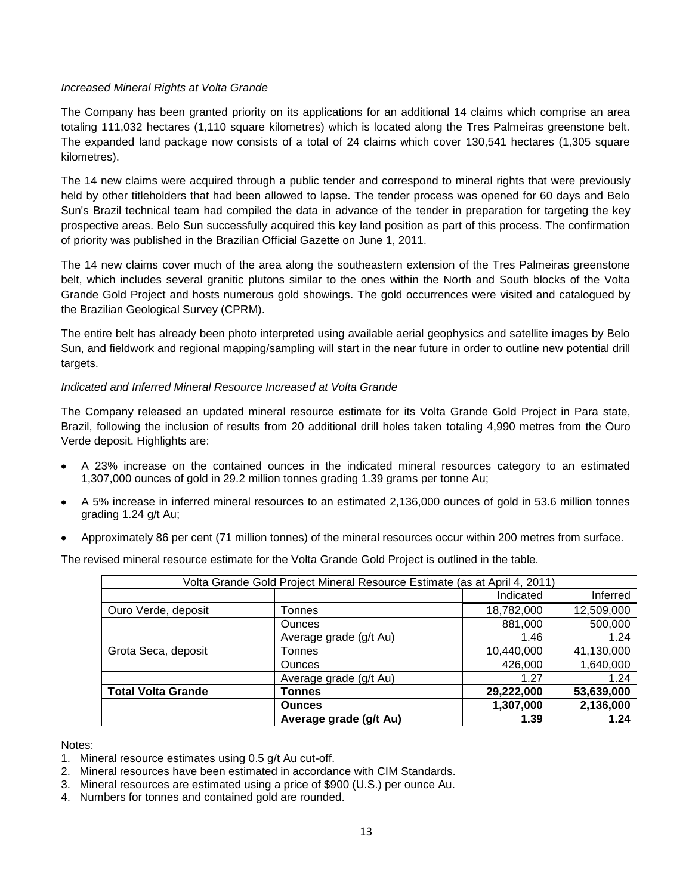# *Increased Mineral Rights at Volta Grande*

The Company has been granted priority on its applications for an additional 14 claims which comprise an area totaling 111,032 hectares (1,110 square kilometres) which is located along the Tres Palmeiras greenstone belt. The expanded land package now consists of a total of 24 claims which cover 130,541 hectares (1,305 square kilometres).

The 14 new claims were acquired through a public tender and correspond to mineral rights that were previously held by other titleholders that had been allowed to lapse. The tender process was opened for 60 days and Belo Sun's Brazil technical team had compiled the data in advance of the tender in preparation for targeting the key prospective areas. Belo Sun successfully acquired this key land position as part of this process. The confirmation of priority was published in the Brazilian Official Gazette on June 1, 2011.

The 14 new claims cover much of the area along the southeastern extension of the Tres Palmeiras greenstone belt, which includes several granitic plutons similar to the ones within the North and South blocks of the Volta Grande Gold Project and hosts numerous gold showings. The gold occurrences were visited and catalogued by the Brazilian Geological Survey (CPRM).

The entire belt has already been photo interpreted using available aerial geophysics and satellite images by Belo Sun, and fieldwork and regional mapping/sampling will start in the near future in order to outline new potential drill targets.

# *Indicated and Inferred Mineral Resource Increased at Volta Grande*

The Company released an updated mineral resource estimate for its Volta Grande Gold Project in Para state, Brazil, following the inclusion of results from 20 additional drill holes taken totaling 4,990 metres from the Ouro Verde deposit. Highlights are:

- A 23% increase on the contained ounces in the indicated mineral resources category to an estimated 1,307,000 ounces of gold in 29.2 million tonnes grading 1.39 grams per tonne Au;
- A 5% increase in inferred mineral resources to an estimated 2,136,000 ounces of gold in 53.6 million tonnes grading 1.24 g/t Au;
- Approximately 86 per cent (71 million tonnes) of the mineral resources occur within 200 metres from surface.

The revised mineral resource estimate for the Volta Grande Gold Project is outlined in the table.

| Volta Grande Gold Project Mineral Resource Estimate (as at April 4, 2011) |                        |            |            |  |  |
|---------------------------------------------------------------------------|------------------------|------------|------------|--|--|
|                                                                           |                        | Indicated  | Inferred   |  |  |
| Ouro Verde, deposit                                                       | Tonnes                 | 18,782,000 | 12,509,000 |  |  |
|                                                                           | <b>Ounces</b>          | 881,000    | 500,000    |  |  |
|                                                                           | Average grade (g/t Au) | 1.46       | 1.24       |  |  |
| Grota Seca, deposit                                                       | Tonnes                 | 10,440,000 | 41,130,000 |  |  |
|                                                                           | <b>Ounces</b>          | 426,000    | 1,640,000  |  |  |
|                                                                           | Average grade (g/t Au) | 1.27       | 1.24       |  |  |
| <b>Total Volta Grande</b>                                                 | Tonnes                 | 29,222,000 | 53,639,000 |  |  |
|                                                                           | <b>Ounces</b>          | 1,307,000  | 2,136,000  |  |  |
|                                                                           | Average grade (g/t Au) | 1.39       | 1.24       |  |  |

Notes:

- 1. Mineral resource estimates using 0.5 g/t Au cut-off.
- 2. Mineral resources have been estimated in accordance with CIM Standards.
- 3. Mineral resources are estimated using a price of \$900 (U.S.) per ounce Au.
- 4. Numbers for tonnes and contained gold are rounded.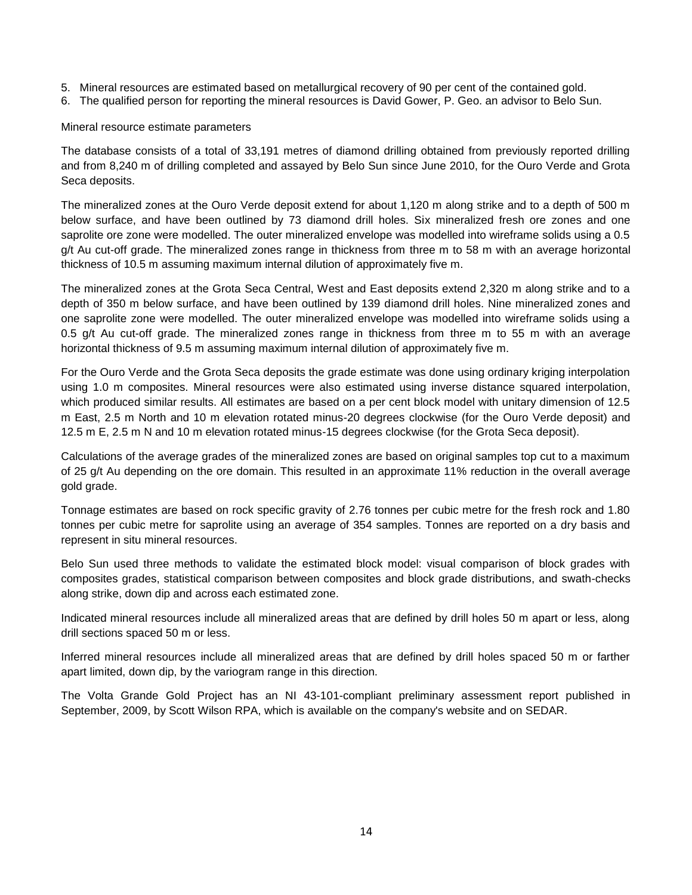- 5. Mineral resources are estimated based on metallurgical recovery of 90 per cent of the contained gold.
- 6. The qualified person for reporting the mineral resources is David Gower, P. Geo. an advisor to Belo Sun.

### Mineral resource estimate parameters

The database consists of a total of 33,191 metres of diamond drilling obtained from previously reported drilling and from 8,240 m of drilling completed and assayed by Belo Sun since June 2010, for the Ouro Verde and Grota Seca deposits.

The mineralized zones at the Ouro Verde deposit extend for about 1,120 m along strike and to a depth of 500 m below surface, and have been outlined by 73 diamond drill holes. Six mineralized fresh ore zones and one saprolite ore zone were modelled. The outer mineralized envelope was modelled into wireframe solids using a 0.5 g/t Au cut-off grade. The mineralized zones range in thickness from three m to 58 m with an average horizontal thickness of 10.5 m assuming maximum internal dilution of approximately five m.

The mineralized zones at the Grota Seca Central, West and East deposits extend 2,320 m along strike and to a depth of 350 m below surface, and have been outlined by 139 diamond drill holes. Nine mineralized zones and one saprolite zone were modelled. The outer mineralized envelope was modelled into wireframe solids using a 0.5 g/t Au cut-off grade. The mineralized zones range in thickness from three m to 55 m with an average horizontal thickness of 9.5 m assuming maximum internal dilution of approximately five m.

For the Ouro Verde and the Grota Seca deposits the grade estimate was done using ordinary kriging interpolation using 1.0 m composites. Mineral resources were also estimated using inverse distance squared interpolation, which produced similar results. All estimates are based on a per cent block model with unitary dimension of 12.5 m East, 2.5 m North and 10 m elevation rotated minus-20 degrees clockwise (for the Ouro Verde deposit) and 12.5 m E, 2.5 m N and 10 m elevation rotated minus-15 degrees clockwise (for the Grota Seca deposit).

Calculations of the average grades of the mineralized zones are based on original samples top cut to a maximum of 25 g/t Au depending on the ore domain. This resulted in an approximate 11% reduction in the overall average gold grade.

Tonnage estimates are based on rock specific gravity of 2.76 tonnes per cubic metre for the fresh rock and 1.80 tonnes per cubic metre for saprolite using an average of 354 samples. Tonnes are reported on a dry basis and represent in situ mineral resources.

Belo Sun used three methods to validate the estimated block model: visual comparison of block grades with composites grades, statistical comparison between composites and block grade distributions, and swath-checks along strike, down dip and across each estimated zone.

Indicated mineral resources include all mineralized areas that are defined by drill holes 50 m apart or less, along drill sections spaced 50 m or less.

Inferred mineral resources include all mineralized areas that are defined by drill holes spaced 50 m or farther apart limited, down dip, by the variogram range in this direction.

The Volta Grande Gold Project has an NI 43-101-compliant preliminary assessment report published in September, 2009, by Scott Wilson RPA, which is available on the company's website and on SEDAR.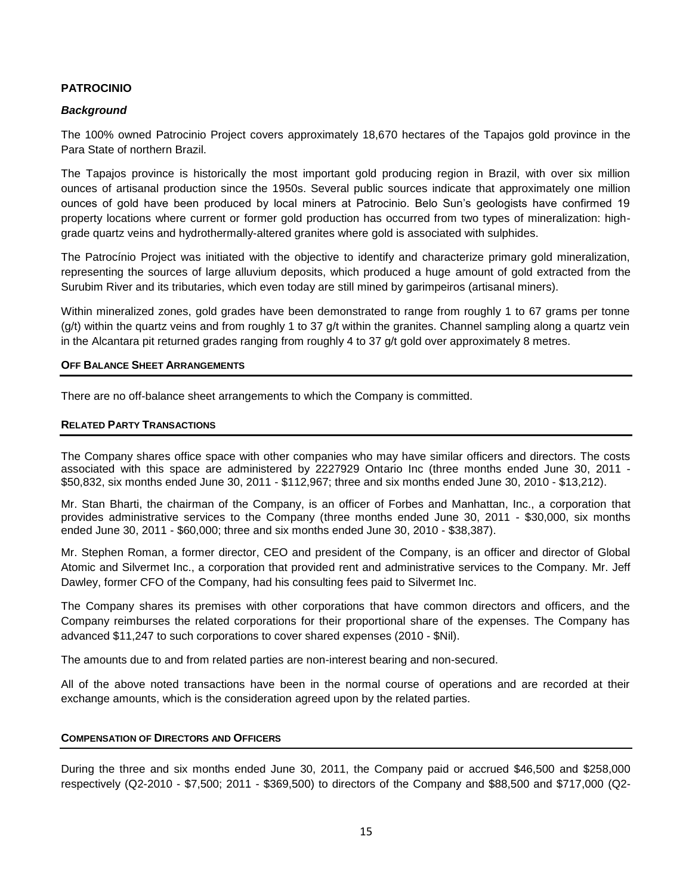# **PATROCINIO**

## *Background*

The 100% owned Patrocinio Project covers approximately 18,670 hectares of the Tapajos gold province in the Para State of northern Brazil.

The Tapajos province is historically the most important gold producing region in Brazil, with over six million ounces of artisanal production since the 1950s. Several public sources indicate that approximately one million ounces of gold have been produced by local miners at Patrocinio. Belo Sun's geologists have confirmed 19 property locations where current or former gold production has occurred from two types of mineralization: highgrade quartz veins and hydrothermally-altered granites where gold is associated with sulphides.

The Patrocínio Project was initiated with the objective to identify and characterize primary gold mineralization, representing the sources of large alluvium deposits, which produced a huge amount of gold extracted from the Surubim River and its tributaries, which even today are still mined by garimpeiros (artisanal miners).

Within mineralized zones, gold grades have been demonstrated to range from roughly 1 to 67 grams per tonne  $(g/t)$  within the quartz veins and from roughly 1 to 37 g/t within the granites. Channel sampling along a quartz vein in the Alcantara pit returned grades ranging from roughly 4 to 37 g/t gold over approximately 8 metres.

#### **OFF BALANCE SHEET ARRANGEMENTS**

There are no off-balance sheet arrangements to which the Company is committed.

#### **RELATED PARTY TRANSACTIONS**

The Company shares office space with other companies who may have similar officers and directors. The costs associated with this space are administered by 2227929 Ontario Inc (three months ended June 30, 2011 - \$50,832, six months ended June 30, 2011 - \$112,967; three and six months ended June 30, 2010 - \$13,212).

Mr. Stan Bharti, the chairman of the Company, is an officer of Forbes and Manhattan, Inc., a corporation that provides administrative services to the Company (three months ended June 30, 2011 - \$30,000, six months ended June 30, 2011 - \$60,000; three and six months ended June 30, 2010 - \$38,387).

Mr. Stephen Roman, a former director, CEO and president of the Company, is an officer and director of Global Atomic and Silvermet Inc., a corporation that provided rent and administrative services to the Company. Mr. Jeff Dawley, former CFO of the Company, had his consulting fees paid to Silvermet Inc.

The Company shares its premises with other corporations that have common directors and officers, and the Company reimburses the related corporations for their proportional share of the expenses. The Company has advanced \$11,247 to such corporations to cover shared expenses (2010 - \$Nil).

The amounts due to and from related parties are non-interest bearing and non-secured.

All of the above noted transactions have been in the normal course of operations and are recorded at their exchange amounts, which is the consideration agreed upon by the related parties.

## **COMPENSATION OF DIRECTORS AND OFFICERS**

During the three and six months ended June 30, 2011, the Company paid or accrued \$46,500 and \$258,000 respectively (Q2-2010 - \$7,500; 2011 - \$369,500) to directors of the Company and \$88,500 and \$717,000 (Q2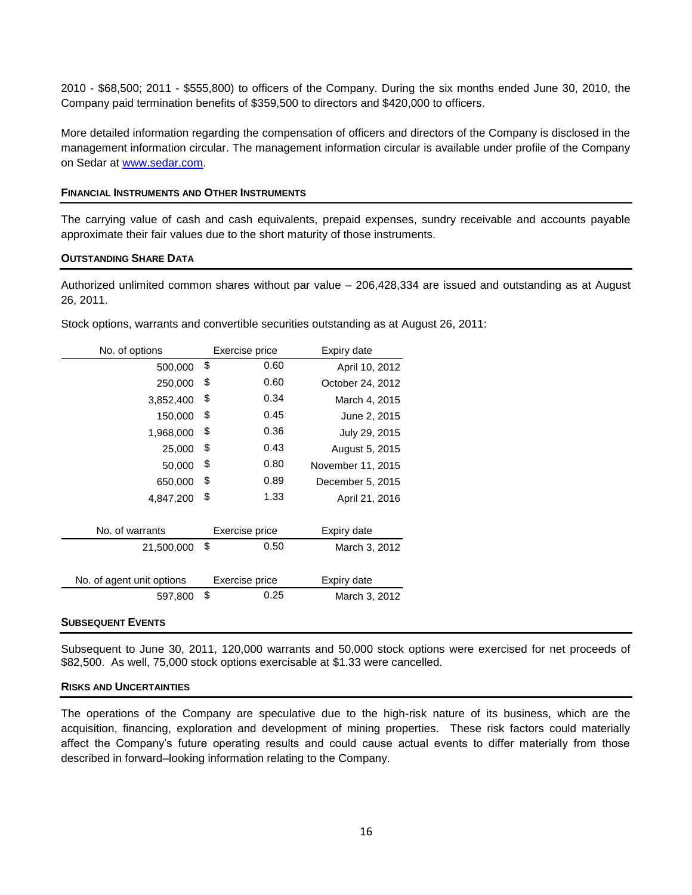2010 - \$68,500; 2011 - \$555,800) to officers of the Company. During the six months ended June 30, 2010, the Company paid termination benefits of \$359,500 to directors and \$420,000 to officers.

More detailed information regarding the compensation of officers and directors of the Company is disclosed in the management information circular. The management information circular is available under profile of the Company on Sedar at [www.sedar.com.](http://www.sedar.com/)

#### **FINANCIAL INSTRUMENTS AND OTHER INSTRUMENTS**

The carrying value of cash and cash equivalents, prepaid expenses, sundry receivable and accounts payable approximate their fair values due to the short maturity of those instruments.

#### **OUTSTANDING SHARE DATA**

Authorized unlimited common shares without par value – 206,428,334 are issued and outstanding as at August 26, 2011.

| No. of options            | Exercise price |      | Expiry date       |  |
|---------------------------|----------------|------|-------------------|--|
| 500,000                   | \$             | 0.60 | April 10, 2012    |  |
| 250,000                   | \$             | 0.60 | October 24, 2012  |  |
| 3,852,400                 | \$             | 0.34 | March 4, 2015     |  |
| 150,000                   | \$             | 0.45 | June 2, 2015      |  |
| 1,968,000                 | \$             | 0.36 | July 29, 2015     |  |
| 25,000                    | \$             | 0.43 | August 5, 2015    |  |
| 50,000                    | \$             | 0.80 | November 11, 2015 |  |
| 650,000                   | \$             | 0.89 | December 5, 2015  |  |
| 4,847,200                 | \$             | 1.33 | April 21, 2016    |  |
|                           |                |      |                   |  |
| No. of warrants           | Exercise price |      | Expiry date       |  |
| 21,500,000                | \$             | 0.50 | March 3, 2012     |  |
|                           |                |      |                   |  |
| No. of agent unit options | Exercise price |      | Expiry date       |  |
| 597,800                   | \$             | 0.25 | March 3, 2012     |  |

Stock options, warrants and convertible securities outstanding as at August 26, 2011:

#### **SUBSEQUENT EVENTS**

Subsequent to June 30, 2011, 120,000 warrants and 50,000 stock options were exercised for net proceeds of \$82,500. As well, 75,000 stock options exercisable at \$1.33 were cancelled.

#### **RISKS AND UNCERTAINTIES**

The operations of the Company are speculative due to the high-risk nature of its business, which are the acquisition, financing, exploration and development of mining properties. These risk factors could materially affect the Company's future operating results and could cause actual events to differ materially from those described in forward–looking information relating to the Company.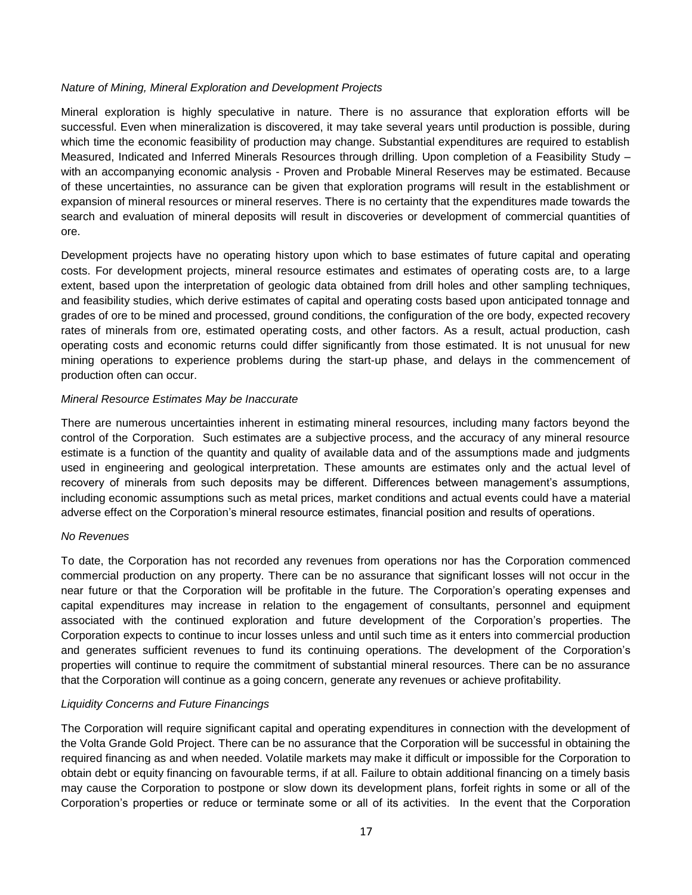# *Nature of Mining, Mineral Exploration and Development Projects*

Mineral exploration is highly speculative in nature. There is no assurance that exploration efforts will be successful. Even when mineralization is discovered, it may take several years until production is possible, during which time the economic feasibility of production may change. Substantial expenditures are required to establish Measured, Indicated and Inferred Minerals Resources through drilling. Upon completion of a Feasibility Study – with an accompanying economic analysis - Proven and Probable Mineral Reserves may be estimated. Because of these uncertainties, no assurance can be given that exploration programs will result in the establishment or expansion of mineral resources or mineral reserves. There is no certainty that the expenditures made towards the search and evaluation of mineral deposits will result in discoveries or development of commercial quantities of ore.

Development projects have no operating history upon which to base estimates of future capital and operating costs. For development projects, mineral resource estimates and estimates of operating costs are, to a large extent, based upon the interpretation of geologic data obtained from drill holes and other sampling techniques, and feasibility studies, which derive estimates of capital and operating costs based upon anticipated tonnage and grades of ore to be mined and processed, ground conditions, the configuration of the ore body, expected recovery rates of minerals from ore, estimated operating costs, and other factors. As a result, actual production, cash operating costs and economic returns could differ significantly from those estimated. It is not unusual for new mining operations to experience problems during the start-up phase, and delays in the commencement of production often can occur.

## *Mineral Resource Estimates May be Inaccurate*

There are numerous uncertainties inherent in estimating mineral resources, including many factors beyond the control of the Corporation. Such estimates are a subjective process, and the accuracy of any mineral resource estimate is a function of the quantity and quality of available data and of the assumptions made and judgments used in engineering and geological interpretation. These amounts are estimates only and the actual level of recovery of minerals from such deposits may be different. Differences between management's assumptions, including economic assumptions such as metal prices, market conditions and actual events could have a material adverse effect on the Corporation's mineral resource estimates, financial position and results of operations.

## *No Revenues*

To date, the Corporation has not recorded any revenues from operations nor has the Corporation commenced commercial production on any property. There can be no assurance that significant losses will not occur in the near future or that the Corporation will be profitable in the future. The Corporation's operating expenses and capital expenditures may increase in relation to the engagement of consultants, personnel and equipment associated with the continued exploration and future development of the Corporation's properties. The Corporation expects to continue to incur losses unless and until such time as it enters into commercial production and generates sufficient revenues to fund its continuing operations. The development of the Corporation's properties will continue to require the commitment of substantial mineral resources. There can be no assurance that the Corporation will continue as a going concern, generate any revenues or achieve profitability.

## *Liquidity Concerns and Future Financings*

The Corporation will require significant capital and operating expenditures in connection with the development of the Volta Grande Gold Project. There can be no assurance that the Corporation will be successful in obtaining the required financing as and when needed. Volatile markets may make it difficult or impossible for the Corporation to obtain debt or equity financing on favourable terms, if at all. Failure to obtain additional financing on a timely basis may cause the Corporation to postpone or slow down its development plans, forfeit rights in some or all of the Corporation's properties or reduce or terminate some or all of its activities. In the event that the Corporation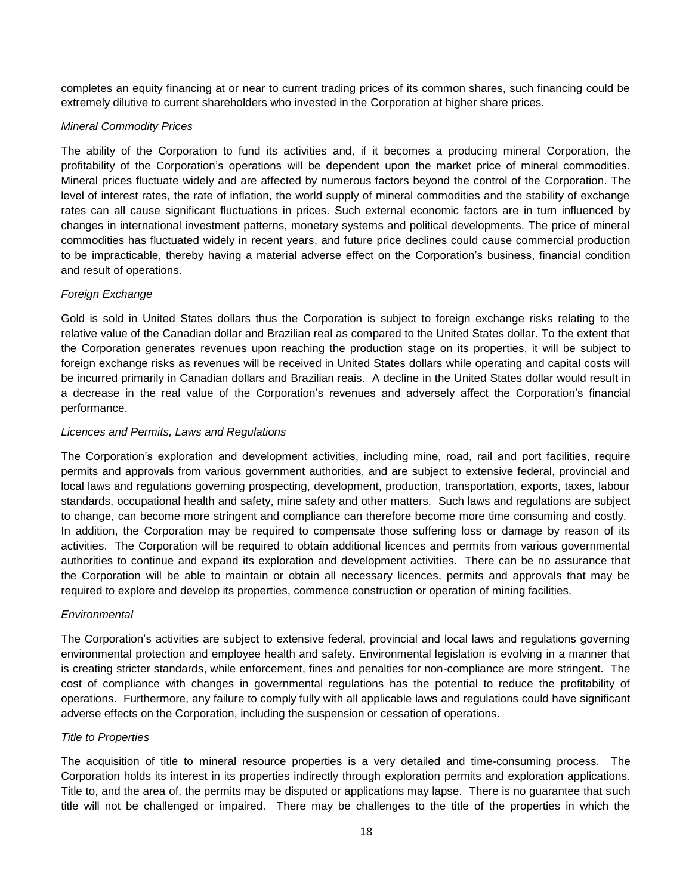completes an equity financing at or near to current trading prices of its common shares, such financing could be extremely dilutive to current shareholders who invested in the Corporation at higher share prices.

# *Mineral Commodity Prices*

The ability of the Corporation to fund its activities and, if it becomes a producing mineral Corporation, the profitability of the Corporation's operations will be dependent upon the market price of mineral commodities. Mineral prices fluctuate widely and are affected by numerous factors beyond the control of the Corporation. The level of interest rates, the rate of inflation, the world supply of mineral commodities and the stability of exchange rates can all cause significant fluctuations in prices. Such external economic factors are in turn influenced by changes in international investment patterns, monetary systems and political developments. The price of mineral commodities has fluctuated widely in recent years, and future price declines could cause commercial production to be impracticable, thereby having a material adverse effect on the Corporation's business, financial condition and result of operations.

# *Foreign Exchange*

Gold is sold in United States dollars thus the Corporation is subject to foreign exchange risks relating to the relative value of the Canadian dollar and Brazilian real as compared to the United States dollar. To the extent that the Corporation generates revenues upon reaching the production stage on its properties, it will be subject to foreign exchange risks as revenues will be received in United States dollars while operating and capital costs will be incurred primarily in Canadian dollars and Brazilian reais. A decline in the United States dollar would result in a decrease in the real value of the Corporation's revenues and adversely affect the Corporation's financial performance.

# *Licences and Permits, Laws and Regulations*

The Corporation's exploration and development activities, including mine, road, rail and port facilities, require permits and approvals from various government authorities, and are subject to extensive federal, provincial and local laws and regulations governing prospecting, development, production, transportation, exports, taxes, labour standards, occupational health and safety, mine safety and other matters. Such laws and regulations are subject to change, can become more stringent and compliance can therefore become more time consuming and costly. In addition, the Corporation may be required to compensate those suffering loss or damage by reason of its activities. The Corporation will be required to obtain additional licences and permits from various governmental authorities to continue and expand its exploration and development activities. There can be no assurance that the Corporation will be able to maintain or obtain all necessary licences, permits and approvals that may be required to explore and develop its properties, commence construction or operation of mining facilities.

## *Environmental*

The Corporation's activities are subject to extensive federal, provincial and local laws and regulations governing environmental protection and employee health and safety. Environmental legislation is evolving in a manner that is creating stricter standards, while enforcement, fines and penalties for non-compliance are more stringent. The cost of compliance with changes in governmental regulations has the potential to reduce the profitability of operations. Furthermore, any failure to comply fully with all applicable laws and regulations could have significant adverse effects on the Corporation, including the suspension or cessation of operations.

## *Title to Properties*

The acquisition of title to mineral resource properties is a very detailed and time-consuming process. The Corporation holds its interest in its properties indirectly through exploration permits and exploration applications. Title to, and the area of, the permits may be disputed or applications may lapse. There is no guarantee that such title will not be challenged or impaired. There may be challenges to the title of the properties in which the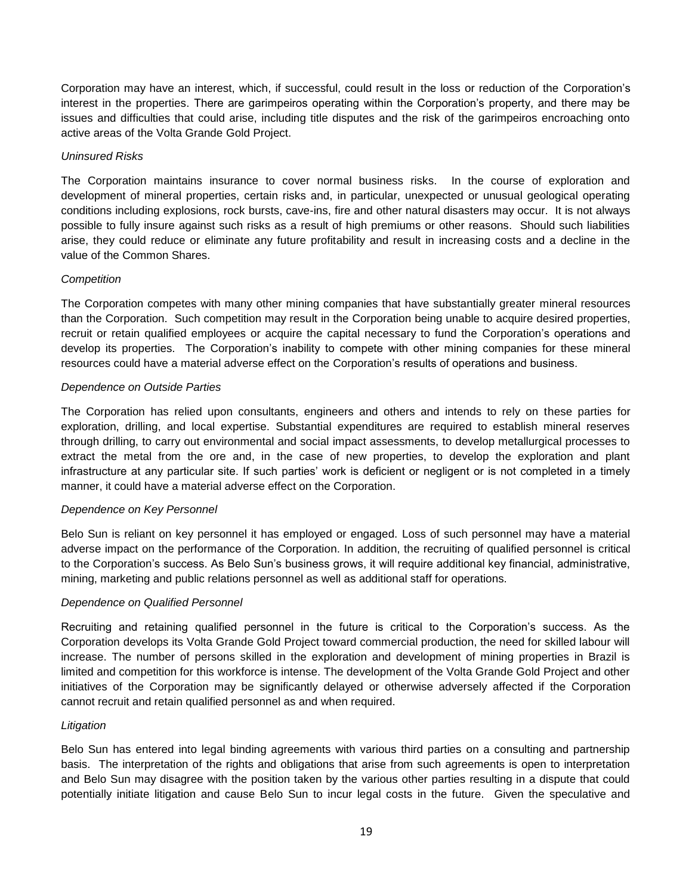Corporation may have an interest, which, if successful, could result in the loss or reduction of the Corporation's interest in the properties. There are garimpeiros operating within the Corporation's property, and there may be issues and difficulties that could arise, including title disputes and the risk of the garimpeiros encroaching onto active areas of the Volta Grande Gold Project.

# *Uninsured Risks*

The Corporation maintains insurance to cover normal business risks. In the course of exploration and development of mineral properties, certain risks and, in particular, unexpected or unusual geological operating conditions including explosions, rock bursts, cave-ins, fire and other natural disasters may occur. It is not always possible to fully insure against such risks as a result of high premiums or other reasons. Should such liabilities arise, they could reduce or eliminate any future profitability and result in increasing costs and a decline in the value of the Common Shares.

# *Competition*

The Corporation competes with many other mining companies that have substantially greater mineral resources than the Corporation. Such competition may result in the Corporation being unable to acquire desired properties, recruit or retain qualified employees or acquire the capital necessary to fund the Corporation's operations and develop its properties. The Corporation's inability to compete with other mining companies for these mineral resources could have a material adverse effect on the Corporation's results of operations and business.

# *Dependence on Outside Parties*

The Corporation has relied upon consultants, engineers and others and intends to rely on these parties for exploration, drilling, and local expertise. Substantial expenditures are required to establish mineral reserves through drilling, to carry out environmental and social impact assessments, to develop metallurgical processes to extract the metal from the ore and, in the case of new properties, to develop the exploration and plant infrastructure at any particular site. If such parties' work is deficient or negligent or is not completed in a timely manner, it could have a material adverse effect on the Corporation.

## *Dependence on Key Personnel*

Belo Sun is reliant on key personnel it has employed or engaged. Loss of such personnel may have a material adverse impact on the performance of the Corporation. In addition, the recruiting of qualified personnel is critical to the Corporation's success. As Belo Sun's business grows, it will require additional key financial, administrative, mining, marketing and public relations personnel as well as additional staff for operations.

## *Dependence on Qualified Personnel*

Recruiting and retaining qualified personnel in the future is critical to the Corporation's success. As the Corporation develops its Volta Grande Gold Project toward commercial production, the need for skilled labour will increase. The number of persons skilled in the exploration and development of mining properties in Brazil is limited and competition for this workforce is intense. The development of the Volta Grande Gold Project and other initiatives of the Corporation may be significantly delayed or otherwise adversely affected if the Corporation cannot recruit and retain qualified personnel as and when required.

## *Litigation*

Belo Sun has entered into legal binding agreements with various third parties on a consulting and partnership basis. The interpretation of the rights and obligations that arise from such agreements is open to interpretation and Belo Sun may disagree with the position taken by the various other parties resulting in a dispute that could potentially initiate litigation and cause Belo Sun to incur legal costs in the future. Given the speculative and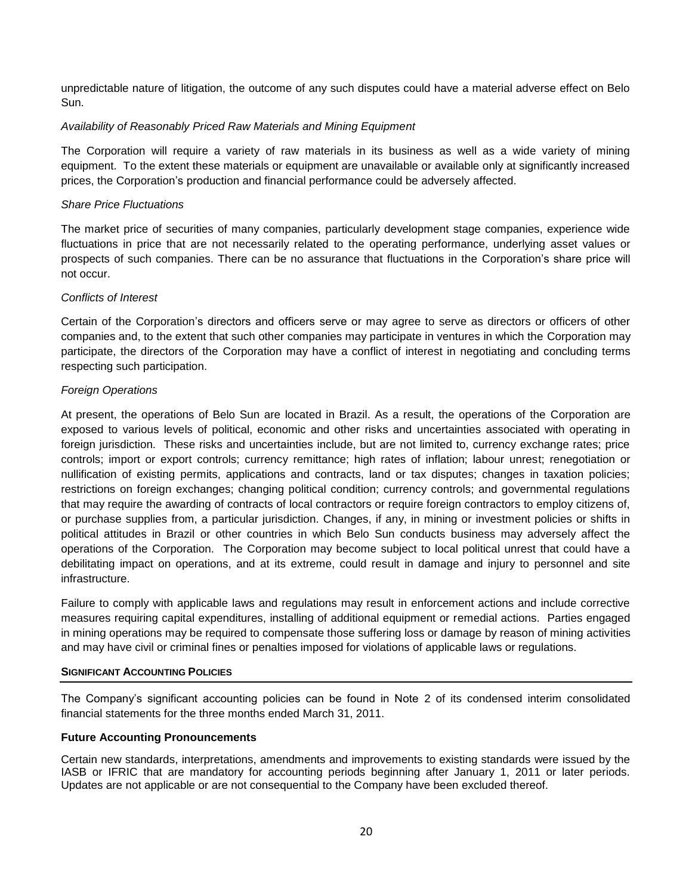unpredictable nature of litigation, the outcome of any such disputes could have a material adverse effect on Belo Sun.

## *Availability of Reasonably Priced Raw Materials and Mining Equipment*

The Corporation will require a variety of raw materials in its business as well as a wide variety of mining equipment. To the extent these materials or equipment are unavailable or available only at significantly increased prices, the Corporation's production and financial performance could be adversely affected.

## *Share Price Fluctuations*

The market price of securities of many companies, particularly development stage companies, experience wide fluctuations in price that are not necessarily related to the operating performance, underlying asset values or prospects of such companies. There can be no assurance that fluctuations in the Corporation's share price will not occur.

# *Conflicts of Interest*

Certain of the Corporation's directors and officers serve or may agree to serve as directors or officers of other companies and, to the extent that such other companies may participate in ventures in which the Corporation may participate, the directors of the Corporation may have a conflict of interest in negotiating and concluding terms respecting such participation.

# *Foreign Operations*

At present, the operations of Belo Sun are located in Brazil. As a result, the operations of the Corporation are exposed to various levels of political, economic and other risks and uncertainties associated with operating in foreign jurisdiction. These risks and uncertainties include, but are not limited to, currency exchange rates; price controls; import or export controls; currency remittance; high rates of inflation; labour unrest; renegotiation or nullification of existing permits, applications and contracts, land or tax disputes; changes in taxation policies; restrictions on foreign exchanges; changing political condition; currency controls; and governmental regulations that may require the awarding of contracts of local contractors or require foreign contractors to employ citizens of, or purchase supplies from, a particular jurisdiction. Changes, if any, in mining or investment policies or shifts in political attitudes in Brazil or other countries in which Belo Sun conducts business may adversely affect the operations of the Corporation. The Corporation may become subject to local political unrest that could have a debilitating impact on operations, and at its extreme, could result in damage and injury to personnel and site infrastructure.

Failure to comply with applicable laws and regulations may result in enforcement actions and include corrective measures requiring capital expenditures, installing of additional equipment or remedial actions. Parties engaged in mining operations may be required to compensate those suffering loss or damage by reason of mining activities and may have civil or criminal fines or penalties imposed for violations of applicable laws or regulations.

## **SIGNIFICANT ACCOUNTING POLICIES**

The Company's significant accounting policies can be found in Note 2 of its condensed interim consolidated financial statements for the three months ended March 31, 2011.

# **Future Accounting Pronouncements**

Certain new standards, interpretations, amendments and improvements to existing standards were issued by the IASB or IFRIC that are mandatory for accounting periods beginning after January 1, 2011 or later periods. Updates are not applicable or are not consequential to the Company have been excluded thereof.